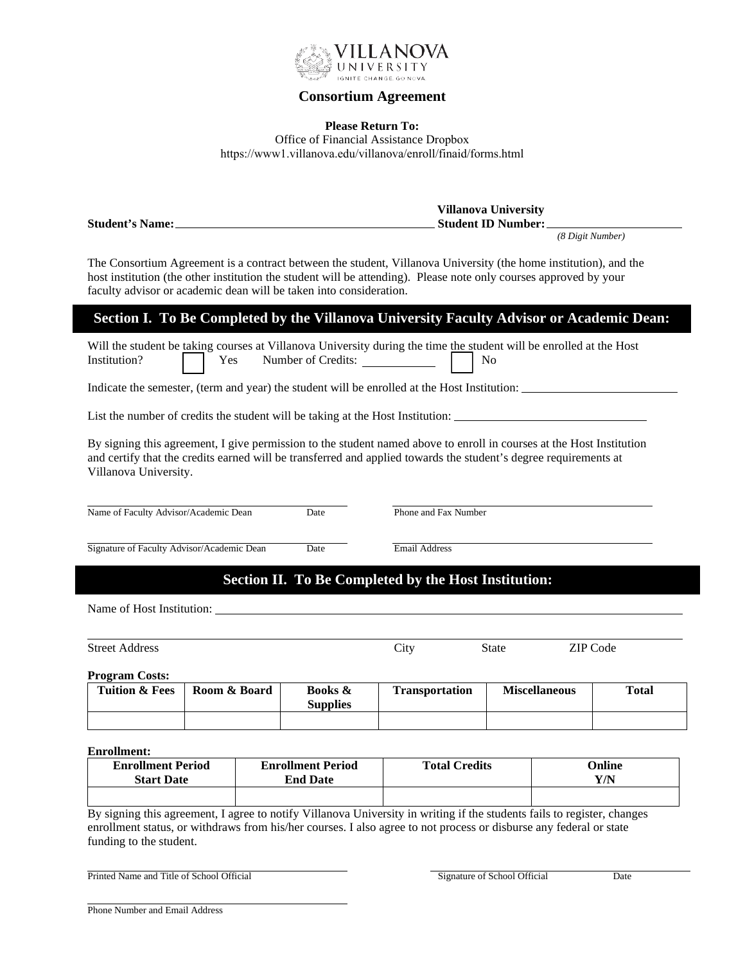

#### **Consortium Agreement**

#### **Please Return To:**

Office of Financial Assistance Dropbox https://www1.villanova.edu/villanova/enroll/finaid/forms.html

|                        | <b>Villanova University</b> |
|------------------------|-----------------------------|
| <b>Student's Name:</b> | <b>Student ID Number:</b>   |
|                        | (8 Digit Number)            |

The Consortium Agreement is a contract between the student, Villanova University (the home institution), and the host institution (the other institution the student will be attending). Please note only courses approved by your faculty advisor or academic dean will be taken into consideration.

### **Section I. To Be Completed by the Villanova University Faculty Advisor or Academic Dean:**

Will the student be taking courses at Villanova University during the time the student will be enrolled at the Host Institution? Yes Number of Credits: No

Indicate the semester, (term and year) the student will be enrolled at the Host Institution:

List the number of credits the student will be taking at the Host Institution:

By signing this agreement, I give permission to the student named above to enroll in courses at the Host Institution and certify that the credits earned will be transferred and applied towards the student's degree requirements at Villanova University.

Name of Faculty Advisor/Academic Dean Date Phone and Fax Number

Signature of Faculty Advisor/Academic Dean Date Email Address

## **Section II. To Be Completed by the Host Institution:**

Name of Host Institution:

| <b>Street Address</b> | `1†V | State | 7IP.<br>Code |
|-----------------------|------|-------|--------------|

**Program Costs:** 

| <b>Tuition &amp; Fees</b> | Room & Board | <b>Books &amp;</b><br><b>Supplies</b> | <b>Transportation</b> | <b>Miscellaneous</b> | Total |
|---------------------------|--------------|---------------------------------------|-----------------------|----------------------|-------|
|                           |              |                                       |                       |                      |       |

**Enrollment:**

| <b>Enrollment Period</b> | <b>Enrollment Period</b> | <b>Total Credits</b> | Online |
|--------------------------|--------------------------|----------------------|--------|
| <b>Start Date</b>        | <b>End Date</b>          |                      | Y/N    |
|                          |                          |                      |        |

By signing this agreement, I agree to notify Villanova University in writing if the students fails to register, changes enrollment status, or withdraws from his/her courses. I also agree to not process or disburse any federal or state funding to the student.

Printed Name and Title of School Official Date Name and Title of School Official Date Date Name and Title of School Official Date